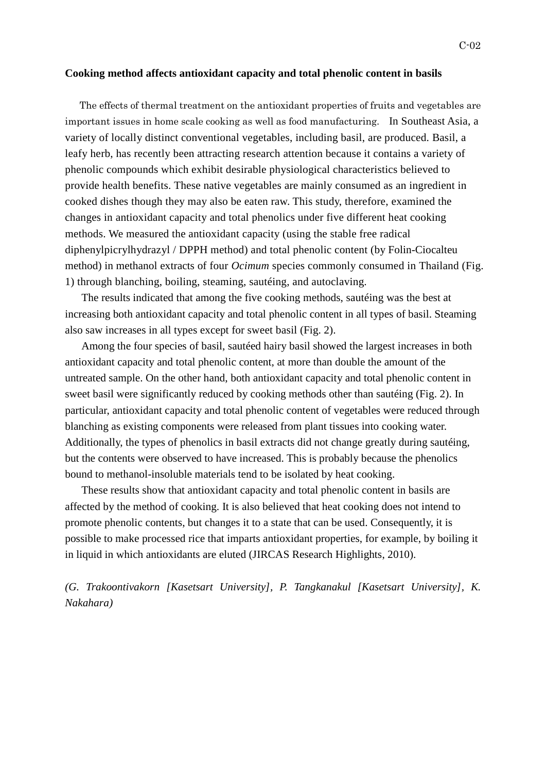## **Cooking method affects antioxidant capacity and total phenolic content in basils**

The effects of thermal treatment on the antioxidant properties of fruits and vegetables are important issues in home scale cooking as well as food manufacturing. In Southeast Asia, a variety of locally distinct conventional vegetables, including basil, are produced. Basil, a leafy herb, has recently been attracting research attention because it contains a variety of phenolic compounds which exhibit desirable physiological characteristics believed to provide health benefits. These native vegetables are mainly consumed as an ingredient in cooked dishes though they may also be eaten raw. This study, therefore, examined the changes in antioxidant capacity and total phenolics under five different heat cooking methods. We measured the antioxidant capacity (using the stable free radical diphenylpicrylhydrazyl / DPPH method) and total phenolic content (by Folin-Ciocalteu method) in methanol extracts of four *Ocimum* species commonly consumed in Thailand (Fig. 1) through blanching, boiling, steaming, sautéing, and autoclaving.

The results indicated that among the five cooking methods, sautéing was the best at increasing both antioxidant capacity and total phenolic content in all types of basil. Steaming also saw increases in all types except for sweet basil (Fig. 2).

Among the four species of basil, sautéed hairy basil showed the largest increases in both antioxidant capacity and total phenolic content, at more than double the amount of the untreated sample. On the other hand, both antioxidant capacity and total phenolic content in sweet basil were significantly reduced by cooking methods other than sautéing (Fig. 2). In particular, antioxidant capacity and total phenolic content of vegetables were reduced through blanching as existing components were released from plant tissues into cooking water. Additionally, the types of phenolics in basil extracts did not change greatly during sautéing, but the contents were observed to have increased. This is probably because the phenolics bound to methanol-insoluble materials tend to be isolated by heat cooking.

These results show that antioxidant capacity and total phenolic content in basils are affected by the method of cooking. It is also believed that heat cooking does not intend to promote phenolic contents, but changes it to a state that can be used. Consequently, it is possible to make processed rice that imparts antioxidant properties, for example, by boiling it in liquid in which antioxidants are eluted (JIRCAS Research Highlights, 2010).

*(G. Trakoontivakorn [Kasetsart University], P. Tangkanakul [Kasetsart University], K. Nakahara)*